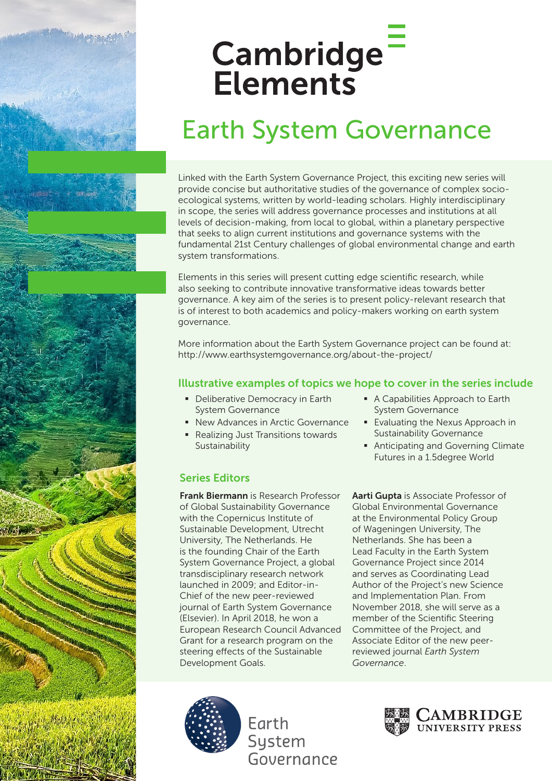# Cambridge<sup>-</sup> Elements

# Earth System Governance

Linked with the Earth System Governance Project, this exciting new series will provide concise but authoritative studies of the governance of complex socioecological systems, written by world-leading scholars. Highly interdisciplinary in scope, the series will address governance processes and institutions at all levels of decision-making, from local to global, within a planetary perspective that seeks to align current institutions and governance systems with the fundamental 21st Century challenges of global environmental change and earth system transformations.

Elements in this series will present cutting edge scientific research, while also seeking to contribute innovative transformative ideas towards better governance. A key aim of the series is to present policy-relevant research that is of interest to both academics and policy-makers working on earth system governance.

More information about the Earth System Governance project can be found at: http://www.earthsystemgovernance.org/about-the-project/

### Illustrative examples of topics we hope to cover in the series include

- **Deliberative Democracy in Earth** System Governance
- New Advances in Arctic Governance
- Realizing Just Transitions towards Sustainability
- § A Capabilities Approach to Earth System Governance
- Evaluating the Nexus Approach in Sustainability Governance
- Anticipating and Governing Climate Futures in a 1.5degree World

## Series Editors

Frank Biermann is Research Professor of Global Sustainability Governance with the Copernicus Institute of Sustainable Development, Utrecht University, The Netherlands. He is the founding Chair of the Earth System Governance Project, a global transdisciplinary research network launched in 2009; and Editor-in-Chief of the new peer-reviewed journal of Earth System Governance (Elsevier). In April 2018, he won a European Research Council Advanced Grant for a research program on the steering effects of the Sustainable Development Goals.

Aarti Gupta is Associate Professor of Global Environmental Governance at the Environmental Policy Group of Wageningen University, The Netherlands. She has been a Lead Faculty in the Earth System Governance Project since 2014 and serves as Coordinating Lead Author of the Project's new Science and Implementation Plan. From November 2018, she will serve as a member of the Scientific Steering Committee of the Project, and Associate Editor of the new peerreviewed journal *Earth System Governance*.



Earth System Governance